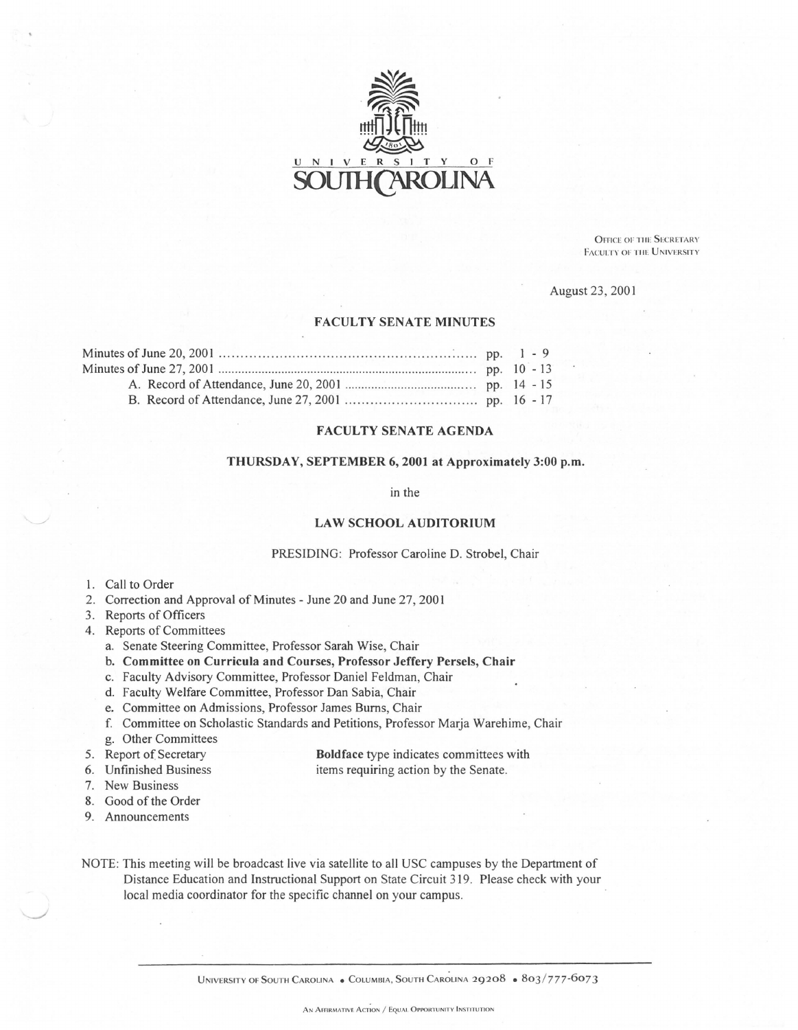

**OFFICE OF THE SECRETARY** FACULTY OF THE UNIVERSITY

August 23, 2001

#### FACULTY SENATE MINUTES

#### FACULTY SENATE AGENDA

# THURSDAY, SEPTEMBER 6, 2001 at Approximately 3:00 p.m.

in the

#### LAW SCHOOL AUDITORIUM

#### PRESIDING: Professor Caroline D. Strobel, Chair

- 1. Call to Order
- 2. Correction and Approval of Minutes June 20 and June 27, 2001
- 3. Reports of Officers
- 4. Reports of Committees
	- a. Senate Steering Committee, Professor Sarah Wise, Chair
	- b. Committee on Curricula and Courses, Professor Jeffery Persels, Chair
	- c. Faculty Advisory Committee, Professor Daniel Feldman, Chair
	- d. Faculty Welfare Committee, Professor Dan Sabia, Chair
	- e. Committee on Admissions, Professor James Bums, Chair
	- f. Committee on Scholastic Standards and Petitions, Professor Marja Warehime, Chair
	- g. Other Committees
- 5. Report of Secretary
- Boldface type indicates committees with items requiring action by the Senate.
- 6. Unfinished Business
- 7. New Business
- 8. Good of the Order
- 9. Announcements
- NOTE: This meeting will be broadcast live via satellite to all USC campuses by the Department of Distance Education and Instructional Support on State Circuit 319. Please check with your local media coordinator for the specific channel on your campus.